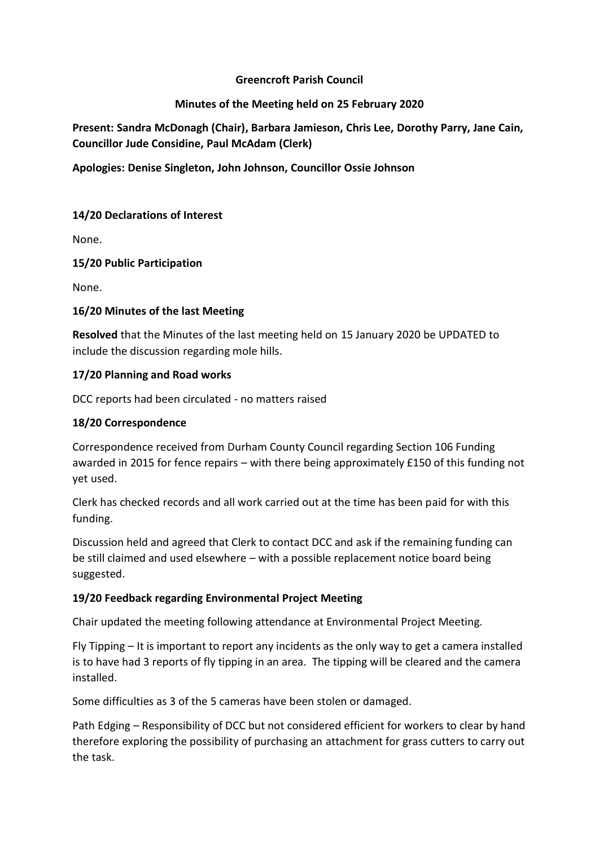## **Greencroft Parish Council**

## **Minutes of the Meeting held on 25 February 2020**

**Present: Sandra McDonagh (Chair), Barbara Jamieson, Chris Lee, Dorothy Parry, Jane Cain, Councillor Jude Considine, Paul McAdam (Clerk)**

**Apologies: Denise Singleton, John Johnson, Councillor Ossie Johnson**

# **14/20 Declarations of Interest**

None.

### **15/20 Public Participation**

None.

### **16/20 Minutes of the last Meeting**

**Resolved** that the Minutes of the last meeting held on 15 January 2020 be UPDATED to include the discussion regarding mole hills.

### **17/20 Planning and Road works**

DCC reports had been circulated - no matters raised

#### **18/20 Correspondence**

Correspondence received from Durham County Council regarding Section 106 Funding awarded in 2015 for fence repairs – with there being approximately £150 of this funding not yet used.

Clerk has checked records and all work carried out at the time has been paid for with this funding.

Discussion held and agreed that Clerk to contact DCC and ask if the remaining funding can be still claimed and used elsewhere – with a possible replacement notice board being suggested.

# **19/20 Feedback regarding Environmental Project Meeting**

Chair updated the meeting following attendance at Environmental Project Meeting.

Fly Tipping – It is important to report any incidents as the only way to get a camera installed is to have had 3 reports of fly tipping in an area. The tipping will be cleared and the camera installed.

Some difficulties as 3 of the 5 cameras have been stolen or damaged.

Path Edging – Responsibility of DCC but not considered efficient for workers to clear by hand therefore exploring the possibility of purchasing an attachment for grass cutters to carry out the task.